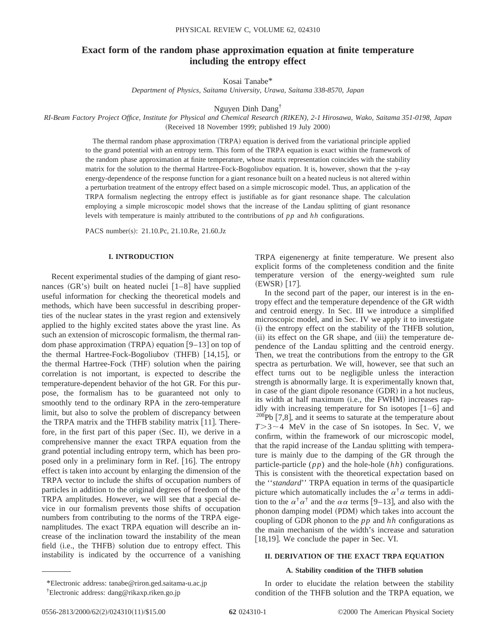# **Exact form of the random phase approximation equation at finite temperature including the entropy effect**

Kosai Tanabe\*

*Department of Physics, Saitama University, Urawa, Saitama 338-8570, Japan*

Nguyen Dinh Dang†

*RI-Beam Factory Project Office, Institute for Physical and Chemical Research (RIKEN), 2-1 Hirosawa, Wako, Saitama 351-0198, Japan* (Received 18 November 1999; published 19 July 2000)

> The thermal random phase approximation  $(TRPA)$  equation is derived from the variational principle applied to the grand potential with an entropy term. This form of the TRPA equation is exact within the framework of the random phase approximation at finite temperature, whose matrix representation coincides with the stability matrix for the solution to the thermal Hartree-Fock-Bogoliubov equation. It is, however, shown that the  $\gamma$ -ray energy-dependence of the response function for a giant resonance built on a heated nucleus is not altered within a perturbation treatment of the entropy effect based on a simple microscopic model. Thus, an application of the TRPA formalism neglecting the entropy effect is justifiable as for giant resonance shape. The calculation employing a simple microscopic model shows that the increase of the Landau splitting of giant resonance levels with temperature is mainly attributed to the contributions of *pp* and *hh* configurations.

PACS number(s): 21.10.Pc, 21.10.Re, 21.60.Jz

#### **I. INTRODUCTION**

Recent experimental studies of the damping of giant resonances  $(GR's)$  built on heated nuclei  $[1-8]$  have supplied useful information for checking the theoretical models and methods, which have been successful in describing properties of the nuclear states in the yrast region and extensively applied to the highly excited states above the yrast line. As such an extension of microscopic formalism, the thermal random phase approximation  $(TRPA)$  equation  $[9-13]$  on top of the thermal Hartree-Fock-Bogoliubov  $(THFB)$   $[14,15]$ , or the thermal Hartree-Fock (THF) solution when the pairing correlation is not important, is expected to describe the temperature-dependent behavior of the hot GR. For this purpose, the formalism has to be guaranteed not only to smoothly tend to the ordinary RPA in the zero-temperature limit, but also to solve the problem of discrepancy between the TRPA matrix and the THFB stability matrix  $[11]$ . Therefore, in the first part of this paper  $(Sec. II)$ , we derive in a comprehensive manner the exact TRPA equation from the grand potential including entropy term, which has been proposed only in a preliminary form in Ref.  $[16]$ . The entropy effect is taken into account by enlarging the dimension of the TRPA vector to include the shifts of occupation numbers of particles in addition to the original degrees of freedom of the TRPA amplitudes. However, we will see that a special device in our formalism prevents those shifts of occupation numbers from contributing to the norms of the TRPA eigenamplitudes. The exact TRPA equation will describe an increase of the inclination toward the instability of the mean field (i.e., the THFB) solution due to entropy effect. This instability is indicated by the occurrence of a vanishing TRPA eigenenergy at finite temperature. We present also explicit forms of the completeness condition and the finite temperature version of the energy-weighted sum rule  $(EWSR)$  [17].

In the second part of the paper, our interest is in the entropy effect and the temperature dependence of the GR width and centroid energy. In Sec. III we introduce a simplified microscopic model, and in Sec. IV we apply it to investigate  $(i)$  the entropy effect on the stability of the THFB solution, (ii) its effect on the GR shape, and (iii) the temperature dependence of the Landau splitting and the centroid energy. Then, we treat the contributions from the entropy to the GR spectra as perturbation. We will, however, see that such an effect turns out to be negligible unless the interaction strength is abnormally large. It is experimentally known that, in case of the giant dipole resonance  $(GDR)$  in a hot nucleus, its width at half maximum (i.e., the FWHM) increases rapidly with increasing temperature for Sn isotopes  $[1-6]$  and  $208Pb$  [7,8], and it seems to saturate at the temperature about  $T > 3 \sim 4$  MeV in the case of Sn isotopes. In Sec. V, we confirm, within the framework of our microscopic model, that the rapid increase of the Landau splitting with temperature is mainly due to the damping of the GR through the particle-particle (*pp*) and the hole-hole (*hh*) configurations. This is consistent with the theoretical expectation based on the ''*standard*'' TRPA equation in terms of the quasiparticle picture which automatically includes the  $\alpha^{\dagger} \alpha$  terms in addition to the  $\alpha^{\dagger} \alpha^{\dagger}$  and the  $\alpha \alpha$  terms [9–13], and also with the phonon damping model (PDM) which takes into account the coupling of GDR phonon to the *pp* and *hh* configurations as the main mechanism of the width's increase and saturation  $[18,19]$ . We conclude the paper in Sec. VI.

## **II. DERIVATION OF THE EXACT TRPA EQUATION**

#### **A. Stability condition of the THFB solution**

In order to elucidate the relation between the stability condition of the THFB solution and the TRPA equation, we

<sup>\*</sup>Electronic address: tanabe@riron.ged.saitama-u.ac.jp

<sup>†</sup> Electronic address: dang@rikaxp.riken.go.jp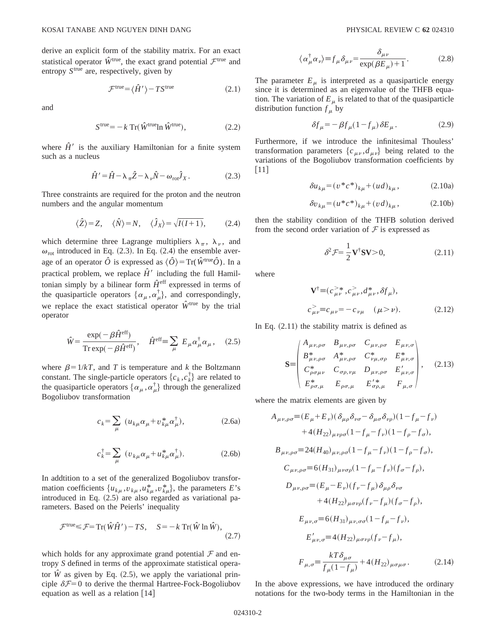derive an explicit form of the stability matrix. For an exact statistical operator  $\hat{W}^{\text{true}}$ , the exact grand potential  $\mathcal{F}^{\text{true}}$  and entropy  $S<sup>true</sup>$  are, respectively, given by

$$
\mathcal{F}^{\text{true}} = \langle \hat{H}' \rangle - T S^{\text{true}} \tag{2.1}
$$

and

$$
Strue = -k Tr(\hat{W}trueln \hat{W}true),
$$
\n(2.2)

where  $\hat{H}'$  is the auxiliary Hamiltonian for a finite system such as a nucleus

$$
\hat{H}' = \hat{H} - \lambda_{\pi} \hat{Z} - \lambda_{\nu} \hat{N} - \omega_{\text{rot}} \hat{J}_X. \tag{2.3}
$$

Three constraints are required for the proton and the neutron numbers and the angular momentum

$$
\langle \hat{Z} \rangle = Z, \quad \langle \hat{N} \rangle = N, \quad \langle \hat{J}_X \rangle = \sqrt{I(I+1)}, \quad (2.4)
$$

which determine three Lagrange multipliers  $\lambda_{\pi}$ ,  $\lambda_{\nu}$ , and  $\omega_{\text{rot}}$  introduced in Eq. (2.3). In Eq. (2.4) the ensemble average of an operator  $\hat{O}$  is expressed as  $\langle \hat{O} \rangle = \text{Tr}(\hat{W}^{\text{true}}\hat{O})$ . In a practical problem, we replace  $\hat{H}'$  including the full Hamiltonian simply by a bilinear form  $\hat{H}^{\text{eff}}$  expressed in terms of the quasiparticle operators  $\{\alpha_{\mu}, \alpha_{\mu}^{\dagger}\}\$ , and correspondingly, we replace the exact statistical operator  $\hat{W}^{\text{true}}$  by the trial operator

$$
\hat{W} = \frac{\exp(-\beta \hat{H}^{\text{eff}})}{\text{Tr}\exp(-\beta \hat{H}^{\text{eff}})}, \quad \hat{H}^{\text{eff}} = \sum_{\mu} E_{\mu} \alpha_{\mu}^{\dagger} \alpha_{\mu}, \quad (2.5)
$$

where  $\beta = 1/kT$ , and *T* is temperature and *k* the Boltzmann constant. The single-particle operators  $\{c_k, c_k^{\dagger}\}\$ are related to the quasiparticle operators  $\{\alpha_{\mu}, \alpha_{\mu}^{\dagger}\}\$  through the generalized Bogoliubov transformation

$$
c_k = \sum_{\mu} \left( u_{k\mu} \alpha_{\mu} + v_{k\mu}^* \alpha_{\mu}^{\dagger} \right), \tag{2.6a}
$$

$$
c_k^{\dagger} = \sum_{\mu} (v_{k\mu} \alpha_{\mu} + u_{k\mu}^* \alpha_{\mu}^{\dagger}).
$$
 (2.6b)

In addtition to a set of the generalized Bogoliubov transformation coefficients  $\{u_{k\mu}, v_{k\mu}, u_{k\mu}^*, v_{k\mu}^*\}$ , the parameters *E*'s introduced in Eq.  $(2.5)$  are also regarded as variational parameters. Based on the Peierls' inequality

$$
\mathcal{F}^{\text{true}} \leq \mathcal{F} = \text{Tr}(\hat{W}\hat{H}') - TS, \quad S = -k \text{ Tr}(\hat{W}\ln\hat{W}), \tag{2.7}
$$

which holds for any approximate grand potential  $\mathcal F$  and entropy *S* defined in terms of the approximate statistical operator  $\hat{W}$  as given by Eq. (2.5), we apply the variational principle  $\delta \mathcal{F}=0$  to derive the thermal Hartree-Fock-Bogoliubov equation as well as a relation  $[14]$ 

$$
\langle \alpha^{\dagger}_{\mu} \alpha_{\nu} \rangle \equiv f_{\mu} \delta_{\mu \nu} = \frac{\delta_{\mu \nu}}{\exp(\beta E_{\mu}) + 1}.
$$
 (2.8)

The parameter  $E_{\mu}$  is interpreted as a quasiparticle energy since it is determined as an eigenvalue of the THFB equation. The variation of  $E_{\mu}$  is related to that of the quasiparticle distribution function  $f_{\mu}$  by

$$
\delta f_{\mu} = -\beta f_{\mu} (1 - f_{\mu}) \delta E_{\mu}.
$$
 (2.9)

Furthermore, if we introduce the infinitesimal Thouless' transformation parameters  $\{c_{\mu\nu}, d_{\mu\nu}\}\$  being related to the variations of the Bogoliubov transformation coefficients by  $[11]$ 

$$
\delta u_{k\mu} = (v^*c^*)_{k\mu} + (ud)_{k\mu}, \qquad (2.10a)
$$

$$
\delta v_{k\mu} = (u^*c^*)_{k\mu} + (vd)_{k\mu}, \qquad (2.10b)
$$

then the stability condition of the THFB solution derived from the second order variation of  $\mathcal F$  is expressed as

$$
\delta^2 \mathcal{F} = \frac{1}{2} \mathbf{V}^\dagger \mathbf{S} \mathbf{V} > 0,\tag{2.11}
$$

where

$$
\mathbf{V}^{\dagger} \equiv (c_{\mu\nu}^{>*}, c_{\mu\nu}^{>}, d_{\mu\nu}^{*}, \delta f_{\mu}),
$$
  
\n
$$
c_{\mu\nu}^{>} \equiv c_{\mu\nu} = -c_{\nu\mu} \quad (\mu > \nu).
$$
 (2.12)

In Eq.  $(2.11)$  the stability matrix is defined as

$$
\mathbf{S} = \begin{pmatrix} A_{\mu\nu,\rho\sigma} & B_{\mu\nu,\rho\sigma} & C_{\mu\nu,\rho\sigma} & E_{\mu\nu,\sigma} \\ B_{\mu\nu,\rho\sigma}^* & A_{\mu\nu,\rho\sigma}^* & C_{\nu\mu,\sigma\rho}^* & E_{\mu\nu,\sigma}^* \\ C_{\rho\sigma\mu\nu}^* & C_{\sigma\rho,\nu\mu} & D_{\mu\nu,\rho\sigma} & E_{\mu\nu,\sigma} \\ E_{\rho\sigma,\mu}^* & E_{\rho\sigma,\mu} & E_{\sigma\rho,\mu}^* & F_{\mu,\sigma} \end{pmatrix}, \quad (2.13)
$$

where the matrix elements are given by

$$
A_{\mu\nu,\rho\sigma} = (E_{\mu} + E_{\nu})(\delta_{\mu\rho}\delta_{\nu\sigma} - \delta_{\mu\sigma}\delta_{\nu\rho})(1 - f_{\mu} - f_{\nu}) + 4(H_{22})_{\mu\nu\rho\sigma}(1 - f_{\mu} - f_{\nu})(1 - f_{\rho} - f_{\sigma}), B_{\mu\nu,\rho\sigma} = 24(H_{40})_{\mu\nu,\rho\sigma}(1 - f_{\mu} - f_{\nu})(1 - f_{\rho} - f_{\sigma}), C_{\mu\nu,\rho\sigma} = 6(H_{31})_{\mu\nu\sigma\rho}(1 - f_{\mu} - f_{\nu})(f_{\sigma} - f_{\rho}), D_{\mu\nu,\rho\sigma} = (E_{\mu} - E_{\nu})(f_{\nu} - f_{\mu})\delta_{\mu\rho}\delta_{\nu\sigma} + 4(H_{22})_{\mu\sigma\nu\rho}(f_{\nu} - f_{\mu})(f_{\sigma} - f_{\rho}), E_{\mu\nu,\sigma} = 6(H_{31})_{\mu\nu,\sigma\sigma}(1 - f_{\mu} - f_{\nu}), E'_{\mu\nu,\sigma} = 4(H_{22})_{\mu\sigma\nu\rho}(f_{\nu} - f_{\mu}), F_{\mu,\sigma} = \frac{kT\delta_{\mu\sigma}}{f_{\mu}(1 - f_{\mu})} + 4(H_{22})_{\mu\sigma\nu\sigma}. \tag{2.14}
$$

In the above expressions, we have introduced the ordinary notations for the two-body terms in the Hamiltonian in the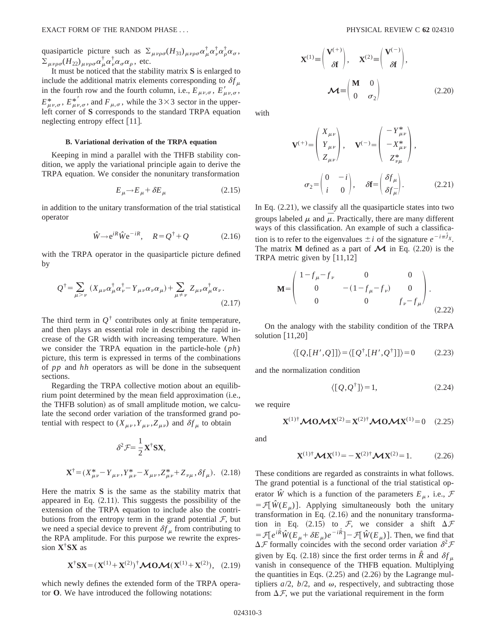quasiparticle picture such as  $\Sigma_{\mu\nu\rho\sigma}(H_{31})_{\mu\nu\rho\sigma}\alpha_{\mu}^{\dagger}\alpha_{\rho}^{\dagger}\alpha_{\sigma}^{\dagger}$  $\sum_{\mu\nu\rho\sigma} (H_{22})_{\mu\nu\rho\sigma} \alpha_{\mu}^{\dagger} \alpha_{\nu}^{\dagger} \alpha_{\sigma} \alpha_{\rho}$ , etc.

It must be noticed that the stability matrix **S** is enlarged to include the additional matrix elements corresponding to  $\delta f_{\mu}$ in the fourth row and the fourth column, i.e.,  $E_{\mu\nu,\sigma}$ ,  $E'_{\mu\nu,\sigma}$ ,  $E^*_{\mu\nu,\sigma}$ ,  $E^*_{\mu\nu,\sigma}$ , and  $F_{\mu,\sigma}$ , while the 3×3 sector in the upperleft corner of **S** corresponds to the standard TRPA equation neglecting entropy effect  $|11|$ .

#### **B. Variational derivation of the TRPA equation**

Keeping in mind a parallel with the THFB stability condition, we apply the variational principle again to derive the TRPA equation. We consider the nonunitary transformation

$$
E_{\mu} \rightarrow E_{\mu} + \delta E_{\mu} \tag{2.15}
$$

in addition to the unitary transformation of the trial statistical operator

$$
\hat{W} \rightarrow e^{iR} \hat{W} e^{-iR}, \quad R = Q^{\dagger} + Q \tag{2.16}
$$

with the TRPA operator in the quasiparticle picture defined by

$$
Q^{\dagger} = \sum_{\mu > \nu} (X_{\mu\nu} \alpha_{\mu}^{\dagger} \alpha_{\nu}^{\dagger} - Y_{\mu\nu} \alpha_{\nu} \alpha_{\mu}) + \sum_{\mu \neq \nu} Z_{\mu\nu} \alpha_{\mu}^{\dagger} \alpha_{\nu}.
$$
\n(2.17)

The third term in  $Q^{\dagger}$  contributes only at finite temperature, and then plays an essential role in describing the rapid increase of the GR width with increasing temperature. When we consider the TRPA equation in the particle-hole (*ph*) picture, this term is expressed in terms of the combinations of *pp* and *hh* operators as will be done in the subsequent sections.

Regarding the TRPA collective motion about an equilibrium point determined by the mean field approximation (i.e., the THFB solution) as of small amplitude motion, we calculate the second order variation of the transformed grand potential with respect to  $(X_{\mu\nu}, Y_{\mu\nu}, Z_{\mu\nu})$  and  $\delta f_{\mu}$  to obtain

$$
\delta^2 \mathcal{F} = \frac{1}{2} \mathbf{X}^\dagger \mathbf{S} \mathbf{X},
$$

$$
\mathbf{X}^\dagger = (X_{\mu\nu}^* - Y_{\mu\nu}, Y_{\mu\nu}^* - X_{\mu\nu}, Z_{\mu\nu}^* + Z_{\nu\mu}, \delta f_\mu). \quad (2.18)
$$

Here the matrix **S** is the same as the stability matrix that appeared in Eq.  $(2.11)$ . This suggests the possibility of the extension of the TRPA equation to include also the contributions from the entropy term in the grand potential  $\mathcal{F}$ , but we need a special device to prevent  $\delta f_{\mu}$  from contributing to the RPA amplitude. For this purpose we rewrite the expression **X**†**SX** as

$$
\mathbf{X}^{\dagger} \mathbf{S} \mathbf{X} = (\mathbf{X}^{(1)} + \mathbf{X}^{(2)})^{\dagger} \mathbf{M} \mathbf{O} \mathbf{M} (\mathbf{X}^{(1)} + \mathbf{X}^{(2)}), \quad (2.19)
$$

which newly defines the extended form of the TRPA operator **O**. We have introduced the following notations:

$$
\mathbf{X}^{(1)} \equiv \begin{pmatrix} \mathbf{V}^{(+)} \\ \delta \mathbf{f} \end{pmatrix}, \quad \mathbf{X}^{(2)} \equiv \begin{pmatrix} \mathbf{V}^{(-)} \\ \delta \mathbf{f} \end{pmatrix},
$$

$$
\mathbf{M} \equiv \begin{pmatrix} \mathbf{M} & 0 \\ 0 & \sigma_2 \end{pmatrix}
$$
(2.20)

with

$$
\mathbf{V}^{(+)} = \begin{pmatrix} X_{\mu\nu} \\ Y_{\mu\nu} \\ Z_{\mu\nu} \end{pmatrix}, \quad \mathbf{V}^{(-)} = \begin{pmatrix} -Y_{\mu\nu}^* \\ -X_{\mu\nu}^* \\ Z_{\nu\mu}^* \end{pmatrix},
$$

$$
\sigma_2 = \begin{pmatrix} 0 & -i \\ i & 0 \end{pmatrix}, \quad \delta \mathbf{f} = \begin{pmatrix} \delta f_{\mu} \\ \delta f_{\mu} \end{pmatrix}.
$$
(2.21)

In Eq.  $(2.21)$ , we classify all the quasiparticle states into two groups labeled  $\mu$  and  $\bar{\mu}$ . Practically, there are many different ways of this classification. An example of such a classification is to refer to the eigenvalues  $\pm i$  of the signature  $e^{-i\pi \hat{J}_X}$ . The matrix **M** defined as a part of  $\mathcal{M}$  in Eq. (2.20) is the TRPA metric given by  $[11,12]$ 

$$
\mathbf{M} = \begin{pmatrix} 1 - f_{\mu} - f_{\nu} & 0 & 0 \\ 0 & -(1 - f_{\mu} - f_{\nu}) & 0 \\ 0 & 0 & f_{\nu} - f_{\mu} \end{pmatrix}.
$$
 (2.22)

On the analogy with the stability condition of the TRPA solution  $|11,20|$ 

$$
\langle [Q,[H',Q]] \rangle = \langle [Q^{\dagger}, [H',Q^{\dagger}]] \rangle = 0 \tag{2.23}
$$

and the normalization condition

$$
\langle [Q, Q^{\dagger}] \rangle = 1,\tag{2.24}
$$

we require

and

$$
\mathbf{X}^{(1)\dagger} \mathcal{M} \mathbf{0} \mathcal{M} \mathbf{X}^{(2)} = \mathbf{X}^{(2)\dagger} \mathcal{M} \mathbf{0} \mathcal{M} \mathbf{X}^{(1)} = 0 \quad (2.25)
$$

 $\mathbf{X}^{(1)\dagger} \mathbf{M} \mathbf{X}^{(1)} = -\mathbf{X}^{(2)\dagger} \mathbf{M} \mathbf{X}^{(2)} = 1.$  (2.26)

These conditions are regarded as constraints in what follows. The grand potential is a functional of the trial statistical operator  $\hat{W}$  which is a function of the parameters  $E_{\mu}$ , i.e.,  $\mathcal{F}$  $=$   $\mathcal{F}[\hat{W}(E_u)]$ . Applying simultaneously both the unitary transformation in Eq.  $(2.16)$  and the nonunitary transformation in Eq. (2.15) to  $\mathcal{F}$ , we consider a shift  $\Delta \mathcal{F}$  $=\mathcal{F}[e^{i\hat{R}}\hat{W}(E_{\mu}+\delta E_{\mu})e^{-i\hat{R}}]-\mathcal{F}[\hat{W}(E_{\mu})]$ . Then, we find that  $\Delta \mathcal{F}$  formally coincides with the second order variation  $\delta^2 \mathcal{F}$ given by Eq.  $(2.18)$  since the first order terms in  $\hat{R}$  and  $\delta f_{\mu}$ vanish in consequence of the THFB equation. Multiplying the quantities in Eqs.  $(2.25)$  and  $(2.26)$  by the Lagrange multipliers  $a/2$ ,  $b/2$ , and  $\omega$ , respectively, and subtracting those from  $\Delta \mathcal{F}$ , we put the variational requirement in the form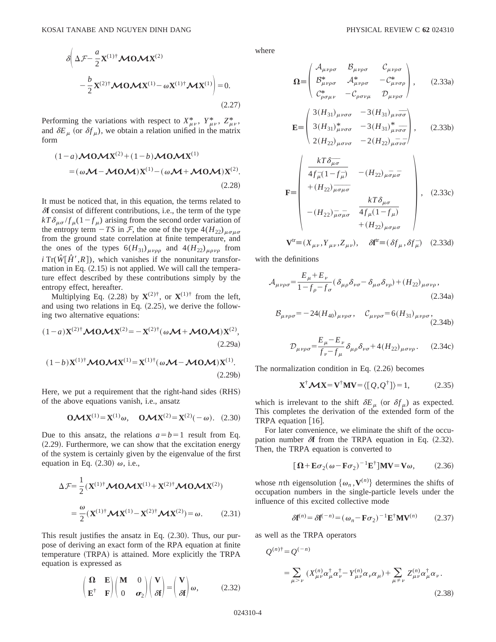$$
\delta \left( \Delta \mathcal{F} - \frac{a}{2} \mathbf{X}^{(1) \dagger} \mathbf{M} \mathbf{0} \mathbf{M} \mathbf{X}^{(2)} - \frac{b}{2} \mathbf{X}^{(2) \dagger} \mathbf{M} \mathbf{0} \mathbf{M} \mathbf{X}^{(1) -} \omega \mathbf{X}^{(1) \dagger} \mathbf{M} \mathbf{X}^{(1)} \right) = 0.
$$
\n(2.27)

Performing the variations with respect to  $X^*_{\mu\nu}$ ,  $Y^*_{\mu\nu}$ ,  $Z^*_{\mu\nu}$ , and  $\delta E_{\mu}$  (or  $\delta f_{\mu}$ ), we obtain a relation unified in the matrix form

$$
(1-a)\mathcal{M}0\mathcal{M}X^{(2)} + (1-b)\mathcal{M}0\mathcal{M}X^{(1)}
$$
  
=  $(\omega\mathcal{M}-\mathcal{M}0\mathcal{M})X^{(1)} - (\omega\mathcal{M}+\mathcal{M}0\mathcal{M})X^{(2)}$ . (2.28)

It must be noticed that, in this equation, the terms related to  $\delta$ **f** consist of different contributions, i.e., the term of the type  $kT\delta_{\mu\sigma}/f_{\mu}(1-f_{\mu})$  arising from the second order variation of the entropy term  $-TS$  in F, the one of the type  $4(H_{22})_{\mu\sigma\mu\sigma}$ from the ground state correlation at finite temperature, and the ones of the types  $6(H_{31})_{\mu\nu\rho\rho}$  and  $4(H_{22})_{\mu\rho\nu\rho}$  from  $\hat{i}$  Tr( $\hat{W}[\hat{H}',R]$ ), which vanishes if the nonunitary transformation in Eq.  $(2.15)$  is not applied. We will call the temperature effect described by these contributions simply by the entropy effect, hereafter.

Multiplying Eq. (2.28) by  $\mathbf{X}^{(2)\dagger}$ , or  $\mathbf{X}^{(1)\dagger}$  from the left, and using two relations in Eq.  $(2.25)$ , we derive the following two alternative equations:

$$
(1-a)\mathbf{X}^{(2)\dagger}\mathbf{M}\mathbf{0}\mathbf{M}\mathbf{X}^{(2)} = -\mathbf{X}^{(2)\dagger}(\omega\mathbf{M} + \mathbf{M}\mathbf{0}\mathbf{M})\mathbf{X}^{(2)},
$$
\n(2.29a)

$$
(1-b)\mathbf{X}^{(1)\dagger}\mathbf{M}\mathbf{0}\mathbf{M}\mathbf{X}^{(1)} = \mathbf{X}^{(1)\dagger}(\omega\mathbf{M} - \mathbf{M}\mathbf{0}\mathbf{M})\mathbf{X}^{(1)}.
$$
\n(2.29b)

Here, we put a requirement that the right-hand sides (RHS) of the above equations vanish, i.e., ansatz

$$
O\mathcal{M}X^{(1)} = X^{(1)}\omega, \quad O\mathcal{M}X^{(2)} = X^{(2)}(-\omega). \quad (2.30)
$$

Due to this ansatz, the relations  $a=b=1$  result from Eq.  $(2.29)$ . Furthermore, we can show that the excitation energy of the system is certainly given by the eigenvalue of the first equation in Eq.  $(2.30)$   $\omega$ , i.e.,

$$
\Delta \mathcal{F} = \frac{1}{2} (\mathbf{X}^{(1)\dagger} \mathbf{M} \mathbf{0} \mathbf{M} \mathbf{X}^{(1)} + \mathbf{X}^{(2)\dagger} \mathbf{M} \mathbf{0} \mathbf{M} \mathbf{X}^{(2)})
$$

$$
= \frac{\omega}{2} (\mathbf{X}^{(1)\dagger} \mathbf{M} \mathbf{X}^{(1)} - \mathbf{X}^{(2)\dagger} \mathbf{M} \mathbf{X}^{(2)}) = \omega. \tag{2.31}
$$

This result justifies the ansatz in Eq.  $(2.30)$ . Thus, our purpose of deriving an exact form of the RPA equation at finite temperature (TRPA) is attained. More explicitly the TRPA equation is expressed as

$$
\begin{pmatrix} \mathbf{\Omega} & \mathbf{E} \\ \mathbf{E}^{\dagger} & \mathbf{F} \end{pmatrix} \begin{pmatrix} \mathbf{M} & 0 \\ 0 & \sigma_2 \end{pmatrix} \begin{pmatrix} \mathbf{V} \\ \delta \mathbf{f} \end{pmatrix} = \begin{pmatrix} \mathbf{V} \\ \delta \mathbf{f} \end{pmatrix} \boldsymbol{\omega}, \tag{2.32}
$$

where

$$
\Omega = \begin{pmatrix} A_{\mu\nu\rho\sigma} & B_{\mu\nu\rho\sigma} & C_{\mu\nu\rho\sigma} \\ B_{\mu\nu\rho\sigma}^* & A_{\mu\nu\rho\sigma}^* & -C_{\mu\nu\sigma\rho}^* \\ C_{\rho\sigma\mu\nu}^* & -C_{\rho\sigma\nu\mu} & D_{\mu\nu\rho\sigma} \end{pmatrix}, \qquad (2.33a)
$$

$$
\mathbf{E} = \begin{pmatrix} 3(H_{31})_{\mu\nu\sigma\sigma} & -3(H_{31})_{\mu\nu\sigma\sigma} \\ 3(H_{31})_{\mu\nu\sigma\sigma}^* & -3(H_{31})_{\mu\nu\sigma\sigma}^* \\ 2(H_{22})_{\mu\sigma\nu\sigma} & -2(H_{22})_{\mu\sigma\nu\sigma} \end{pmatrix}, \qquad (2.33b)
$$

$$
\mathbf{F} = \begin{pmatrix} kT\delta_{\mu}\bar{\sigma} \\ 4f_{\mu}^{-}(1-f_{\mu}) & -(H_{22})_{\mu}\bar{\sigma}_{\mu}\bar{\sigma} \\ +(H_{22})_{\mu}\bar{\sigma}_{\mu}\bar{\sigma} \\ -(H_{22})_{\mu}\bar{\sigma}_{\mu}\bar{\sigma} & kT\delta_{\mu\sigma} \\ -(H_{22})_{\mu}\bar{\sigma}_{\mu}\bar{\sigma} & 4f_{\mu}(1-f_{\mu}) \\ +(H_{22})_{\mu}\bar{\sigma}_{\mu}\bar{\sigma} \end{pmatrix}, (2.33c)
$$

$$
\mathbf{V}^{\text{tr}} \equiv (X_{\mu\nu}, Y_{\mu\nu}, Z_{\mu\nu}), \quad \delta \mathbf{f}^{\text{tr}} \equiv (\delta f_{\mu}, \delta f_{\mu}) \quad (2.33d)
$$

with the definitions

$$
\mathcal{A}_{\mu\nu\rho\sigma} = \frac{E_{\mu} + E_{\nu}}{1 - f_{\rho} - f_{\sigma}} (\delta_{\mu\rho} \delta_{\nu\sigma} - \delta_{\mu\sigma} \delta_{\nu\rho}) + (H_{22})_{\mu\sigma\nu\rho},
$$
\n(2.34a)

$$
\mathcal{B}_{\mu\nu\rho\sigma} = -24(H_{40})_{\mu\nu\rho\sigma}, \quad \mathcal{C}_{\mu\nu\rho\sigma} = 6(H_{31})_{\mu\nu\rho\sigma},
$$
\n(2.34b)

$$
\mathcal{D}_{\mu\nu\rho\sigma} = \frac{E_{\mu} - E_{\nu}}{f_{\nu} - f_{\mu}} \delta_{\mu\rho} \delta_{\nu\sigma} + 4(H_{22})_{\mu\sigma\nu\rho}.
$$
 (2.34c)

The normalization condition in Eq.  $(2.26)$  becomes

$$
\mathbf{X}^{\dagger} \mathbf{\mathcal{M}} \mathbf{X} = \mathbf{V}^{\dagger} \mathbf{M} \mathbf{V} = \langle [Q, Q^{\dagger}] \rangle = 1, \tag{2.35}
$$

which is irrelevant to the shift  $\delta E_{\mu}$  (or  $\delta f_{\mu}$ ) as expected. This completes the derivation of the extended form of the TRPA equation  $|16|$ .

For later convenience, we eliminate the shift of the occupation number  $\delta f$  from the TRPA equation in Eq.  $(2.32)$ . Then, the TRPA equation is converted to

$$
[\mathbf{\Omega} + \mathbf{E}\sigma_2(\omega - \mathbf{F}\sigma_2)^{-1}\mathbf{E}^{\dagger}]\mathbf{MV} = \mathbf{V}\omega, \qquad (2.36)
$$

whose *n*th eigensolution  $\{\omega_n, \mathbf{V}^{(n)}\}$  determines the shifts of occupation numbers in the single-particle levels under the influence of this excited collective mode

$$
\delta \mathbf{f}^{(n)} = \delta \mathbf{f}^{(-n)} = (\omega_n - \mathbf{F}\sigma_2)^{-1} \mathbf{E}^{\dagger} \mathbf{M} \mathbf{V}^{(n)} \tag{2.37}
$$

as well as the TRPA operators

$$
Q^{(n)\dagger} = Q^{(-n)}
$$
  
= 
$$
\sum_{\mu > \nu} (X^{(n)}_{\mu\nu} \alpha^{\dagger}_{\mu} \alpha^{\dagger}_{\nu} - Y^{(n)}_{\mu\nu} \alpha_{\nu} \alpha_{\mu}) + \sum_{\mu \neq \nu} Z^{(n)}_{\mu\nu} \alpha^{\dagger}_{\mu} \alpha_{\nu}.
$$
  
(2.38)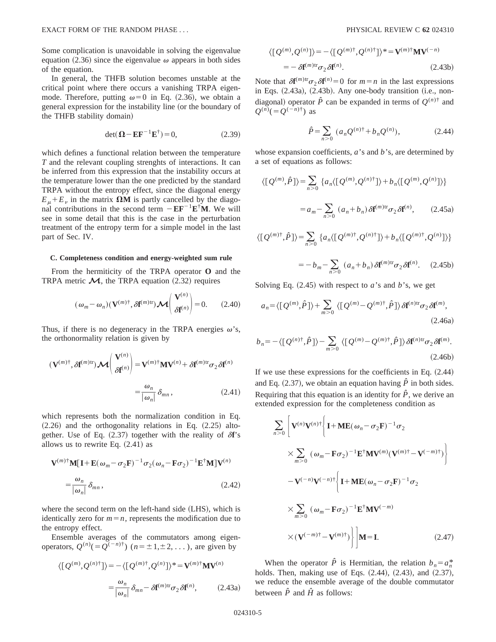Some complication is unavoidable in solving the eigenvalue equation (2.36) since the eigenvalue  $\omega$  appears in both sides of the equation.

In general, the THFB solution becomes unstable at the critical point where there occurs a vanishing TRPA eigenmode. Therefore, putting  $\omega=0$  in Eq. (2.36), we obtain a general expression for the instability line (or the boundary of the THFB stability domain)

$$
\det(\mathbf{\Omega} - \mathbf{E}\mathbf{F}^{-1}\mathbf{E}^{\dagger}) = 0, \tag{2.39}
$$

which defines a functional relation between the temperature *T* and the relevant coupling strenghts of interactions. It can be inferred from this expression that the instability occurs at the temperature lower than the one predicted by the standard TRPA without the entropy effect, since the diagonal energy  $E_{\mu} + E_{\nu}$  in the matrix  $\Omega M$  is partly cancelled by the diagonal contributions in the second term  $-EF^{-1}E^{\dagger}M$ . We will see in some detail that this is the case in the perturbation treatment of the entropy term for a simple model in the last part of Sec. IV.

#### **C. Completeness condition and energy-weighted sum rule**

From the hermiticity of the TRPA operator **O** and the TRPA metric  $\mathcal{M}$ , the TRPA equation (2.32) requires

$$
(\omega_m - \omega_n)(\mathbf{V}^{(m)\dagger}, \delta \mathbf{f}^{(m)\text{tr}}) \mathbf{\mathcal{M}} \begin{pmatrix} \mathbf{V}^{(n)} \\ \delta \mathbf{f}^{(n)} \end{pmatrix} = 0.
$$
 (2.40)

Thus, if there is no degeneracy in the TRPA energies  $\omega$ 's, the orthonormality relation is given by

$$
(\mathbf{V}^{(m)\dagger}, \delta \mathbf{f}^{(m)\text{tr}}) \mathcal{M} \begin{pmatrix} \mathbf{V}^{(n)} \\ \delta \mathbf{f}^{(n)} \end{pmatrix} = \mathbf{V}^{(m)\dagger} \mathbf{M} \mathbf{V}^{(n)} + \delta \mathbf{f}^{(m)\text{tr}} \sigma_2 \delta \mathbf{f}^{(n)}
$$

$$
= \frac{\omega_n}{|\omega_n|} \delta_{mn}, \qquad (2.41)
$$

which represents both the normalization condition in Eq.  $(2.26)$  and the orthogonality relations in Eq.  $(2.25)$  altogether. Use of Eq.  $(2.37)$  together with the reality of  $\delta f$ 's allows us to rewrite Eq.  $(2.41)$  as

$$
\mathbf{V}^{(m)*}\mathbf{M}[\mathbf{I} + \mathbf{E}(\omega_m - \sigma_2 \mathbf{F})^{-1} \sigma_2 (\omega_n - \mathbf{F}\sigma_2)^{-1} \mathbf{E}^{\dagger} \mathbf{M}]\mathbf{V}^{(n)}
$$

$$
= \frac{\omega_n}{|\omega_n|} \delta_{mn}, \qquad (2.42)
$$

where the second term on the left-hand side (LHS), which is identically zero for  $m=n$ , represents the modification due to the entropy effect.

Ensemble averages of the commutators among eigenoperators,  $Q^{(n)}(=Q^{(-n)\dagger})$  ( $n=\pm 1,\pm 2,\dots$ ), are given by

$$
\langle [Q^{(m)}, Q^{(n)\dagger}] \rangle = -\langle [Q^{(m)\dagger}, Q^{(n)}] \rangle^* = \mathbf{V}^{(m)\dagger} \mathbf{M} \mathbf{V}^{(n)}
$$

$$
= \frac{\omega_n}{|\omega_n|} \delta_{mn} - \delta \mathbf{f}^{(m)\text{tr}} \sigma_2 \delta \mathbf{f}^{(n)}, \qquad (2.43a)
$$

$$
\langle [Q^{(m)}, Q^{(n)}] \rangle = -\langle [Q^{(m)\dagger}, Q^{(n)\dagger}] \rangle^* = \mathbf{V}^{(m)\dagger} \mathbf{M} \mathbf{V}^{(-n)}
$$
  
= 
$$
-\delta \mathbf{f}^{(m)\text{tr}} \sigma_2 \delta \mathbf{f}^{(n)}.
$$
 (2.43b)

Note that  $\delta \mathbf{f}^{(m)\text{tr}} \sigma_2 \delta \mathbf{f}^{(n)} = 0$  for  $m = n$  in the last expressions in Eqs.  $(2.43a)$ ,  $(2.43b)$ . Any one-body transition  $(i.e., non$ diagonal) operator  $\hat{P}$  can be expanded in terms of  $O^{(n)^\dagger}$  and  $Q^{(n)}(=Q^{(-n)\dagger})$  as

$$
\hat{P} = \sum_{n>0} (a_n Q^{(n)\dagger} + b_n Q^{(n)}), \tag{2.44}
$$

whose expansion coefficients, *a*'s and *b*'s, are determined by a set of equations as follows:

$$
\langle [Q^{(m)}, \hat{P}] \rangle = \sum_{n>0} \left\{ a_n \langle [Q^{(m)}, Q^{(n)\dagger}] \rangle + b_n \langle [Q^{(m)}, Q^{(n)}] \rangle \right\}
$$

$$
= a_m - \sum_{n>0} (a_n + b_n) \delta f^{(m)\dagger} \sigma_2 \delta f^{(n)}, \qquad (2.45a)
$$

$$
\langle [Q^{(m)\dagger}, \hat{P}] \rangle = \sum_{n>0} \{ a_n \langle [Q^{(m)\dagger}, Q^{(n)\dagger}] \rangle + b_n \langle [Q^{(m)\dagger}, Q^{(n)}] \rangle \}
$$
  

$$
= b_n \sum_{n=0}^{\infty} (a_n + b_n) S^{(m)\text{tr}} = S^{(n)} \quad (2.45b)
$$

$$
= -b_m - \sum_{n>0} (a_n + b_n) \delta \mathbf{f}^{(m)\text{tr}} \sigma_2 \delta \mathbf{f}^{(n)}.
$$
 (2.45b)

Solving Eq.  $(2.45)$  with respect to *a*'s and *b*'s, we get

$$
a_n = \langle [Q^{(m)}, \hat{P}] \rangle + \sum_{m > 0} \langle [Q^{(m)} - Q^{(m)\dagger}, \hat{P}] \rangle \delta \mathbf{f}^{(n)\text{tr}} \sigma_2 \delta \mathbf{f}^{(m)},\tag{2.46a}
$$

$$
b_n = -\langle [Q^{(n)\dagger}, \hat{P}] \rangle - \sum_{m > 0} \langle [Q^{(m)} - Q^{(m)\dagger}, \hat{P}] \rangle \delta \mathbf{f}^{(n)\text{tr}} \sigma_2 \delta \mathbf{f}^{(m)}.
$$
\n(2.46b)

If we use these expressions for the coefficients in Eq.  $(2.44)$ and Eq.  $(2.37)$ , we obtain an equation having  $\hat{P}$  in both sides. Requiring that this equation is an identity for  $\hat{P}$ , we derive an extended expression for the completeness condition as

$$
\sum_{n>0} \left[ \mathbf{V}^{(n)} \mathbf{V}^{(n)\dagger} \left\{ \mathbf{I} + \mathbf{M} \mathbf{E} (\omega_n - \sigma_2 \mathbf{F})^{-1} \sigma_2 \right.\n\right. \\
\left. \times \sum_{m>0} \left( \omega_m - \mathbf{F} \sigma_2 \right)^{-1} \mathbf{E}^{\dagger} \mathbf{M} \mathbf{V}^{(m)} (\mathbf{V}^{(m)\dagger} - \mathbf{V}^{(-m)\dagger}) \right\} \\
\left. - \mathbf{V}^{(-n)} \mathbf{V}^{(-n)\dagger} \left\{ \mathbf{I} + \mathbf{M} \mathbf{E} (\omega_n - \sigma_2 \mathbf{F})^{-1} \sigma_2 \right.\n\right. \\
\left. \times \sum_{m>0} \left( \omega_m - \mathbf{F} \sigma_2 \right)^{-1} \mathbf{E}^{\dagger} \mathbf{M} \mathbf{V}^{(-m)} \right. \\
\left. \times \left( \mathbf{V}^{(-m)\dagger} - \mathbf{V}^{(m)\dagger} \right) \right\} \middle| \mathbf{M} = \mathbf{I}.\n\right. \tag{2.47}
$$

When the operator  $\hat{P}$  is Hermitian, the relation  $b_n = a_n^*$ holds. Then, making use of Eqs.  $(2.44)$ ,  $(2.43)$ , and  $(2.37)$ , we reduce the ensemble average of the double commutator between  $\hat{P}$  and  $\hat{H}$  as follows: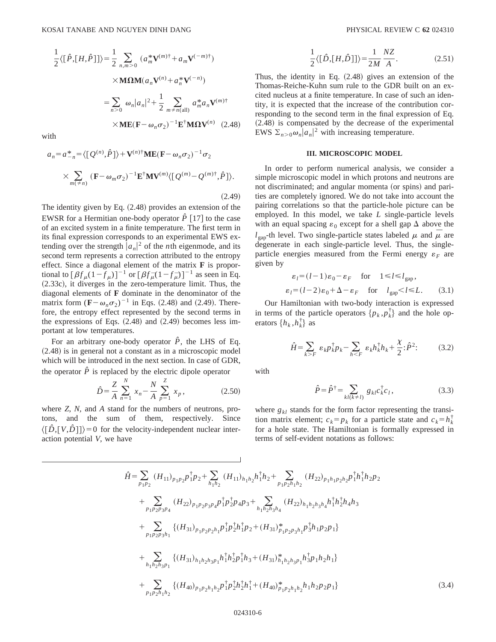$$
\frac{1}{2}\langle[\hat{P},[H,\hat{P}]]\rangle = \frac{1}{2} \sum_{n,m>0} (a_m^* \mathbf{V}^{(m)\dagger} + a_m \mathbf{V}^{(-m)\dagger})
$$
  
 
$$
\times \mathbf{M}\Omega \mathbf{M}(a_n \mathbf{V}^{(n)} + a_n^* \mathbf{V}^{(-n)})
$$
  

$$
= \sum_{n>0} \omega_n |a_n|^2 + \frac{1}{2} \sum_{m \neq n(\text{all})} a_m^* a_n \mathbf{V}^{(m)\dagger}
$$
  

$$
\times \mathbf{M} \mathbf{E}(\mathbf{F} - \omega_n \sigma_2)^{-1} \mathbf{E}^\dagger \mathbf{M} \Omega \mathbf{V}^{(n)} \quad (2.48)
$$

with

$$
a_n = a_{-n}^* = \langle [Q^{(n)}, \hat{P}] \rangle + \mathbf{V}^{(n)\dagger} \mathbf{M} \mathbf{E} (\mathbf{F} - \omega_n \sigma_2)^{-1} \sigma_2
$$
  
 
$$
\times \sum_{m(\neq n)} (\mathbf{F} - \omega_m \sigma_2)^{-1} \mathbf{E}^{\dagger} \mathbf{M} \mathbf{V}^{(m)} \langle [Q^{(m)} - Q^{(m)\dagger}, \hat{P}] \rangle.
$$
 (2.49)

The identity given by Eq.  $(2.48)$  provides an extension of the EWSR for a Hermitian one-body operator  $\hat{P}$  [17] to the case of an excited system in a finite temperature. The first term in its final expression corresponds to an experimental EWS extending over the strength  $|a_n|^2$  of the *n*th eigenmode, and its second term represents a correction attributed to the entropy effect. Since a diagonal element of the matrix **F** is proportional to  $[\beta f_\mu(1-f_\mu)]^{-1}$  or  $[\beta f_\mu(1-f_\mu)]^{-1}$  as seen in Eq.  $(2.33c)$ , it diverges in the zero-temperature limit. Thus, the diagonal elements of **F** dominate in the denominator of the matrix form  $(F - \omega_n \sigma_2)^{-1}$  in Eqs. (2.48) and (2.49). Therefore, the entropy effect represented by the second terms in the expressions of Eqs.  $(2.48)$  and  $(2.49)$  becomes less important at low temperatures.

For an arbitrary one-body operator  $\hat{P}$ , the LHS of Eq.  $(2.48)$  is in general not a constant as in a microscopic model which will be introduced in the next section. In case of GDR, the operator  $\hat{P}$  is replaced by the electric dipole operator

$$
\hat{D} = \frac{Z}{A} \sum_{n=1}^{N} x_n - \frac{N}{A} \sum_{p=1}^{Z} x_p, \qquad (2.50)
$$

where *Z*, *N,* and *A* stand for the numbers of neutrons, protons, and the sum of them, respectively. Since  $\langle [\hat{D}, [V, \hat{D}]] \rangle = 0$  for the velocity-independent nuclear interaction potential *V*, we have

$$
\frac{1}{2}\langle [\hat{D},[H,\hat{D}]]\rangle = \frac{1}{2M} \frac{NZ}{A}.
$$
 (2.51)

Thus, the identity in Eq.  $(2.48)$  gives an extension of the Thomas-Reiche-Kuhn sum rule to the GDR built on an excited nucleus at a finite temperature. In case of such an identity, it is expected that the increase of the contribution corresponding to the second term in the final expression of Eq.  $(2.48)$  is compensated by the decrease of the experimental EWS  $\sum_{n>0} \omega_n |a_n|^2$  with increasing temperature.

#### **III. MICROSCOPIC MODEL**

In order to perform numerical analysis, we consider a simple microscopic model in which protons and neutrons are not discriminated; and angular momenta (or spins) and parities are completely ignored. We do not take into account the pairing correlations so that the particle-hole picture can be employed. In this model, we take *L* single-particle levels with an equal spacing  $\varepsilon_0$  except for a shell gap  $\Delta$  above the  $l_{\text{gap}}$ -th level. Two single-particle states labeled  $\mu$  and  $\bar{\mu}$  are degenerate in each single-particle level. Thus, the singleparticle energies measured from the Fermi energy  $\varepsilon_F$  are given by

$$
\varepsilon_l = (l-1)\varepsilon_0 - \varepsilon_F \quad \text{for} \quad 1 \le l \le l_{\text{gap}},
$$
  

$$
\varepsilon_l = (l-2)\varepsilon_0 + \Delta - \varepsilon_F \quad \text{for} \quad l_{\text{gap}} < l \le L. \tag{3.1}
$$

Our Hamiltonian with two-body interaction is expressed in terms of the particle operators  $\{p_k, p_k^{\dagger}\}\$  and the hole operators  $\{h_k, h_k^{\dagger}\}\$ as

$$
\hat{H} = \sum_{k \ge F} \varepsilon_k p_k^{\dagger} p_k - \sum_{h \le F} \varepsilon_k h_k^{\dagger} h_k + \frac{\chi}{2} \cdot \hat{P}^2.
$$
 (3.2)

with

$$
\hat{P} = \hat{P}^{\dagger} = \sum_{kl(k \neq l)} g_{kl} c_{k}^{\dagger} c_{l},
$$
\n(3.3)

where  $g_{kl}$  stands for the form factor representing the transition matrix element;  $c_k = p_k$  for a particle state and  $c_k = h_k^{\dagger}$ for a hole state. The Hamiltonian is formally expressed in terms of self-evident notations as follows:

$$
\hat{H} = \sum_{p_1p_2} (H_{11})_{p_1p_2} p_1^{\dagger} p_2 + \sum_{h_1h_2} (H_{11})_{h_1h_2} h_1^{\dagger} h_2 + \sum_{p_1p_2h_1h_2} (H_{22})_{p_1h_1p_2h_2} p_1^{\dagger} h_1^{\dagger} h_2 p_2 \n+ \sum_{p_1p_2p_3p_4} (H_{22})_{p_1p_2p_3p_4} p_1^{\dagger} p_2^{\dagger} p_4 p_3 + \sum_{h_1h_2h_3h_4} (H_{22})_{h_1h_2h_3h_4} h_1^{\dagger} h_2^{\dagger} h_4 h_3 \n+ \sum_{p_1p_2p_3h_1} \{ (H_{31})_{p_1p_2p_2h_1} p_1^{\dagger} p_2^{\dagger} h_1^{\dagger} p_2 + (H_{31})_{p_1p_2p_3h_1}^* p_3^{\dagger} h_1 p_2 p_1 \} \n+ \sum_{h_1h_2h_3p_1} \{ (H_{31})_{h_1h_2h_3p_1} h_1^{\dagger} h_2^{\dagger} p_1^{\dagger} h_3 + (H_{31})_{h_1h_2h_3p_1}^* h_3^{\dagger} p_1 h_2 h_1 \} \n+ \sum_{p_1p_2h_1h_2} \{ (H_{40})_{p_1p_2h_1h_2} p_1^{\dagger} p_2^{\dagger} h_2^{\dagger} h_1^{\dagger} + (H_{40})_{p_1p_2h_1h_2}^* h_1^{\dagger} h_2 p_2 p_1 \} \tag{3.4}
$$

 $\overline{1}$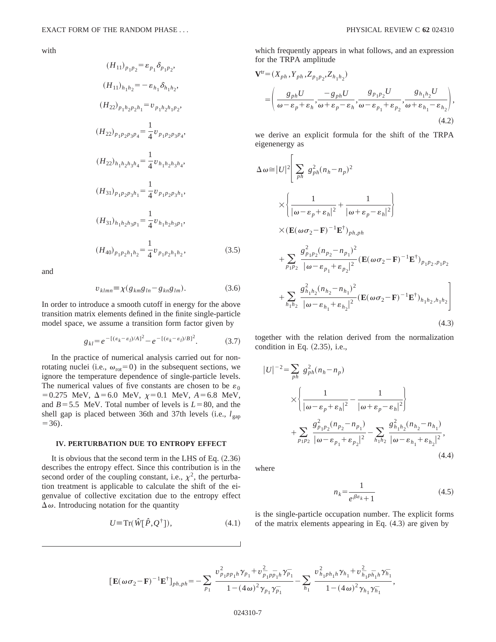with

$$
(H_{11})_{p_1p_2} = \varepsilon_{p_1} \delta_{p_1p_2},
$$
  
\n
$$
(H_{11})_{h_1h_2} = -\varepsilon_{h_1} \delta_{h_1h_2},
$$
  
\n
$$
(H_{22})_{p_1h_2p_2h_1} = v_{p_1h_2h_1p_2},
$$
  
\n
$$
(H_{22})_{p_1p_2p_3p_4} = \frac{1}{4} v_{p_1p_2p_3p_4},
$$
  
\n
$$
(H_{22})_{h_1h_2h_3h_4} = \frac{1}{4} v_{h_1h_2h_3h_4},
$$
  
\n
$$
(H_{31})_{p_1p_2p_3h_1} = \frac{1}{4} v_{p_1p_2p_3h_1},
$$
  
\n
$$
(H_{31})_{h_1h_2h_3p_1} = \frac{1}{4} v_{h_1h_2h_3p_1},
$$
  
\n
$$
(H_{40})_{p_1p_2h_1h_2} = \frac{1}{4} v_{p_1p_2h_1h_2},
$$

and

$$
v_{klmn} \equiv \chi(g_{km}g_{ln} - g_{kn}g_{lm}). \tag{3.6}
$$

 $(3.5)$ 

In order to introduce a smooth cutoff in energy for the above transition matrix elements defined in the finite single-particle model space, we assume a transition form factor given by

$$
g_{kl} = e^{-[(\varepsilon_k - \varepsilon_l)/A]^2} - e^{-[(\varepsilon_k - \varepsilon_l)/B]^2}.
$$
 (3.7)

In the practice of numerical analysis carried out for nonrotating nuclei (i.e.,  $\omega_{\text{rot}}=0$ ) in the subsequent sections, we ignore the temperature dependence of single-particle levels. The numerical values of five constants are chosen to be  $\varepsilon_0$  $=0.275$  MeV,  $\Delta = 6.0$  MeV,  $\chi = 0.1$  MeV,  $A = 6.8$  MeV, and  $B = 5.5$  MeV. Total number of levels is  $L = 80$ , and the shell gap is placed between 36th and 37th levels (i.e.,  $l_{\text{gap}}$ )  $=36$ ).

### **IV. PERTURBATION DUE TO ENTROPY EFFECT**

It is obvious that the second term in the LHS of Eq.  $(2.36)$ describes the entropy effect. Since this contribution is in the second order of the coupling constant, i.e.,  $\chi^2$ , the perturbation treatment is applicable to calculate the shift of the eigenvalue of collective excitation due to the entropy effect  $\Delta \omega$ . Introducing notation for the quantity

$$
U \equiv \operatorname{Tr}(\hat{W}[\hat{P}, Q^{\dagger}]),\tag{4.1}
$$

which frequently appears in what follows, and an expression for the TRPA amplitude

$$
\mathbf{V}^{\text{tr}} = (X_{ph}, Y_{ph}, Z_{p_1 p_2}, Z_{h_1 h_2})
$$
\n
$$
= \left(\frac{g_{ph} U}{\omega - \varepsilon_p + \varepsilon_h}, \frac{-g_{ph} U}{\omega + \varepsilon_p - \varepsilon_h}, \frac{g_{p_1 p_2} U}{\omega - \varepsilon_{p_1} + \varepsilon_{p_2}}, \frac{g_{h_1 h_2} U}{\omega + \varepsilon_{h_1} - \varepsilon_{h_2}}\right),
$$
\n(4.2)

we derive an explicit formula for the shift of the TRPA eigenenergy as

 $\overline{a}$ 

$$
\Delta \omega \approx |U|^2 \left[ \sum_{ph} g_{ph}^2 (n_h - n_p)^2 \right]
$$
  
\n
$$
\times \left\{ \frac{1}{|\omega - \varepsilon_p + \varepsilon_h|^2} + \frac{1}{|\omega + \varepsilon_p - \varepsilon_h|^2} \right\}
$$
  
\n
$$
\times (\mathbf{E}(\omega \sigma_2 - \mathbf{F})^{-1} \mathbf{E}^{\dagger})_{ph,ph}
$$
  
\n
$$
+ \sum_{p_1 p_2} \frac{g_{p_1 p_2}^2 (n_{p_2} - n_{p_1})^2}{|\omega - \varepsilon_{p_1} + \varepsilon_{p_2}|^2} (\mathbf{E}(\omega \sigma_2 - \mathbf{F})^{-1} \mathbf{E}^{\dagger})_{p_1 p_2, p_1 p_2}
$$
  
\n
$$
+ \sum_{h_1 h_2} \frac{g_{h_1 h_2}^2 (n_{h_2} - n_{h_1})^2}{|\omega - \varepsilon_{h_1} + \varepsilon_{h_2}|^2} (\mathbf{E}(\omega \sigma_2 - \mathbf{F})^{-1} \mathbf{E}^{\dagger})_{h_1 h_2, h_1 h_2} \right]
$$
(4.3)

together with the relation derived from the normalization condition in Eq.  $(2.35)$ , i.e.,

$$
|U|^{-2} = \sum_{ph} g_{ph}^{2}(n_h - n_p)
$$
  
\n
$$
\times \left\{ \frac{1}{|\omega - \varepsilon_p + \varepsilon_h|^2} - \frac{1}{|\omega + \varepsilon_p - \varepsilon_h|^2} \right\}
$$
  
\n
$$
+ \sum_{p_1 p_2} \frac{g_{p_1 p_2}^{2}(n_{p_2} - n_{p_1})}{|\omega - \varepsilon_{p_1} + \varepsilon_{p_2}|^2} - \sum_{h_1 h_2} \frac{g_{h_1 h_2}^{2}(n_{h_2} - n_{h_1})}{|\omega - \varepsilon_{h_1} + \varepsilon_{h_2}|^2},
$$
\n(4.4)

where

$$
n_k = \frac{1}{e^{\beta \varepsilon_k} + 1} \tag{4.5}
$$

is the single-particle occupation number. The explicit forms of the matrix elements appearing in Eq.  $(4.3)$  are given by

$$
\left[\mathbf{E}(\omega\sigma_2-\mathbf{F})^{-1}\mathbf{E}^{\dagger}\right]_{ph,ph}=-\sum_{p_1}\frac{v_{p_1p p_1h}^2\gamma_{p_1}+v_{p_1p p_1h}^2\gamma_{p_1}}{1-(4\omega)^2\gamma_{p_1}\gamma_{p_1}}-\sum_{h_1}\frac{v_{h_1p h_1h}^2\gamma_{h_1}+v_{h_1p h_1h}^2\gamma_{h_1}}{1-(4\omega)^2\gamma_{h_1}\gamma_{h_1}},\right]
$$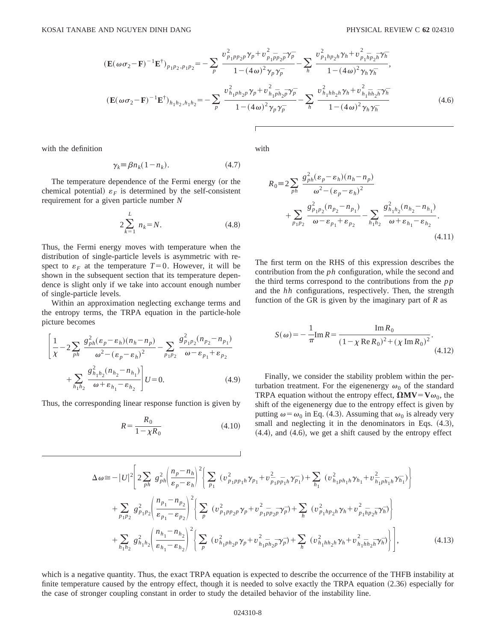$$
\begin{split}\n(\mathbf{E}(\omega\sigma_{2}-\mathbf{F})^{-1}\mathbf{E}^{\dagger})_{p_{1}p_{2},p_{1}p_{2}} &= -\sum_{p} \frac{v_{p_{1}p_{p_{2}}p}^{2}\gamma_{p}+v_{p_{1}\bar{p}_{p_{2}\bar{p}}}^{2}\gamma_{p} }{1-(4\omega)^{2}\gamma_{p}\gamma_{p}^{-}} - \sum_{h} \frac{v_{p_{1}h_{p_{2}}h}^{2}\gamma_{h}+v_{p_{1}\bar{h}_{p_{2}\bar{h}}}^{2}\gamma_{h}^{2}}{1-(4\omega)^{2}\gamma_{h}\gamma_{h}^{-}},\\
(\mathbf{E}(\omega\sigma_{2}-\mathbf{F})^{-1}\mathbf{E}^{\dagger})_{h_{1}h_{2},h_{1}h_{2}} &= -\sum_{p} \frac{v_{h_{1}p_{h_{2}p}}^{2}\gamma_{p}+v_{h_{1}\bar{p}_{h_{2}\bar{p}}}^{2}\gamma_{p}^{-}}{1-(4\omega)^{2}\gamma_{p}\gamma_{p}^{-}} - \sum_{h} \frac{v_{h_{1}h_{h_{2}h}}^{2}\gamma_{h}+v_{h_{1}\bar{h}_{h_{2}\bar{h}}}^{2}\gamma_{h}^{-}}{1-(4\omega)^{2}\gamma_{h}\gamma_{h}^{-}}\n\end{split}
$$
\n(4.6)

with the definition

$$
\gamma_k \equiv \beta n_k (1 - n_k). \tag{4.7}
$$

The temperature dependence of the Fermi energy (or the chemical potential)  $\varepsilon_F$  is determined by the self-consistent requirement for a given particle number *N*

$$
2\sum_{k=1}^{L} n_k = N.
$$
 (4.8)

Thus, the Fermi energy moves with temperature when the distribution of single-particle levels is asymmetric with respect to  $\varepsilon_F$  at the temperature  $T=0$ . However, it will be shown in the subsequent section that its temperature dependence is slight only if we take into account enough number of single-particle levels.

Within an approximation neglecting exchange terms and the entropy terms, the TRPA equation in the particle-hole picture becomes

$$
\left[\frac{1}{\chi} - 2\sum_{ph} \frac{g_{ph}^2(\varepsilon_p - \varepsilon_h)(n_h - n_p)}{\omega^2 - (\varepsilon_p - \varepsilon_h)^2} - \sum_{p_1 p_2} \frac{g_{p_1 p_2}^2(n_{p_2} - n_{p_1})}{\omega - \varepsilon_{p_1} + \varepsilon_{p_2}} + \sum_{h_1 h_2} \frac{g_{h_1 h_2}^2(n_{h_2} - n_{h_1})}{\omega + \varepsilon_{h_1} - \varepsilon_{h_2}}\right] U = 0.
$$
\n(4.9)

Thus, the corresponding linear response function is given by

$$
R = \frac{R_0}{1 - \chi R_0}
$$
 (4.10)

with

$$
R_0 = 2 \sum_{ph} \frac{g_{ph}^2 (\varepsilon_p - \varepsilon_h)(n_h - n_p)}{\omega^2 - (\varepsilon_p - \varepsilon_h)^2} + \sum_{p_1 p_2} \frac{g_{p_1 p_2}^2 (n_{p_2} - n_{p_1})}{\omega - \varepsilon_{p_1} + \varepsilon_{p_2}} - \sum_{h_1 h_2} \frac{g_{h_1 h_2}^2 (n_{h_2} - n_{h_1})}{\omega + \varepsilon_{h_1} - \varepsilon_{h_2}}.
$$
\n(4.11)

The first term on the RHS of this expression describes the contribution from the *ph* configuration, while the second and the third terms correspond to the contributions from the *pp* and the *hh* configurations, respectively. Then, the strength function of the GR is given by the imaginary part of *R* as

$$
S(\omega) = -\frac{1}{\pi} \text{Im} \, R = \frac{\text{Im} \, R_0}{(1 - \chi \text{Re} \, R_0)^2 + (\chi \text{Im} \, R_0)^2}.
$$
\n(4.12)

Finally, we consider the stability problem within the perturbation treatment. For the eigenenergy  $\omega_0$  of the standard TRPA equation without the entropy effect,  $\Omega$ **MV**=**V** $\omega_0$ , the shift of the eigenenergy due to the entropy effect is given by putting  $\omega = \omega_0$  in Eq. (4.3). Assuming that  $\omega_0$  is already very small and neglecting it in the denominators in Eqs.  $(4.3)$ ,  $(4.4)$ , and  $(4.6)$ , we get a shift caused by the entropy effect

$$
\Delta \omega \approx -|U|^{2} \left[ 2 \sum_{ph} g_{ph}^{2} \left( \frac{n_{p} - n_{h}}{\varepsilon_{p} - \varepsilon_{h}} \right)^{2} \left\{ \sum_{p_{1}} (v_{p_{1}pp_{1}h}^{2} \gamma_{p_{1}} + v_{p_{1}pp_{1}h}^{2} \gamma_{p_{1}}) + \sum_{h_{1}} (v_{h_{1}ph_{1}h}^{2} \gamma_{h_{1}} + v_{h_{1}ph_{1}h}^{2} \gamma_{h_{1}}) \right\} \n+ \sum_{p_{1}p_{2}} g_{p_{1}p_{2}}^{2} \left( \frac{n_{p_{1} - n_{p_{2}}}}{\varepsilon_{p_{1} - \varepsilon_{p_{2}}}} \right)^{2} \left\{ \sum_{p} (v_{p_{1}pp_{2}p}^{2} \gamma_{p} + v_{p_{1}pp_{2}p}^{2} \gamma_{p}) + \sum_{h} (v_{p_{1}hp_{2}h}^{2} \gamma_{h} + v_{p_{1}hp_{2}h}^{2} \gamma_{h}) \right\} \n+ \sum_{h_{1}h_{2}} g_{h_{1}h_{2}}^{2} \left( \frac{n_{h_{1} - n_{h_{2}}}}{\varepsilon_{h_{1} - \varepsilon_{h_{2}}}} \right)^{2} \left\{ \sum_{p} (v_{h_{1}ph_{2}p}^{2} \gamma_{p} + v_{h_{1}ph_{2}p}^{2} \gamma_{p}) + \sum_{h} (v_{h_{1}hh_{2}h}^{2} \gamma_{h} + v_{h_{1}hh_{2}h}^{2} \gamma_{h}) \right\}, \tag{4.13}
$$

which is a negative quantity. Thus, the exact TRPA equation is expected to describe the occurrence of the THFB instability at finite temperature caused by the entropy effect, though it is needed to solve exactly the TRPA equation  $(2.36)$  especially for the case of stronger coupling constant in order to study the detailed behavior of the instability line.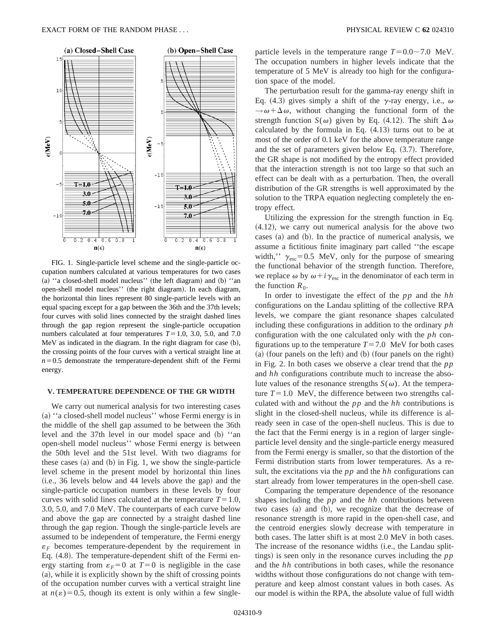

FIG. 1. Single-particle level scheme and the single-particle occupation numbers calculated at various temperatures for two cases (a) "a closed-shell model nucleus" (the left diagram) and  $(b)$  "and open-shell model nucleus" (the right diagram). In each diagram, the horizontal thin lines represent 80 single-particle levels with an equal spacing except for a gap between the 36th and the 37th levels; four curves with solid lines connected by the straight dashed lines through the gap region represent the single-particle occupation numbers calculated at four temperatures  $T=1.0, 3.0, 5.0,$  and 7.0 MeV as indicated in the diagram. In the right diagram for case  $(b)$ , the crossing points of the four curves with a vertical straight line at  $n=0.5$  demonstrate the temperature-dependent shift of the Fermi energy.

### **V. TEMPERATURE DEPENDENCE OF THE GR WIDTH**

We carry out numerical analysis for two interesting cases (a) "a closed-shell model nucleus" whose Fermi energy is in the middle of the shell gap assumed to be between the 36th level and the 37th level in our model space and  $(b)$  "and" open-shell model nucleus'' whose Fermi energy is between the 50th level and the 51st level. With two diagrams for these cases  $(a)$  and  $(b)$  in Fig. 1, we show the single-particle level scheme in the present model by horizontal thin lines  $(i.e., 36$  levels below and 44 levels above the gap) and the single-particle occupation numbers in these levels by four curves with solid lines calculated at the temperature  $T=1.0$ , 3.0, 5.0, and 7.0 MeV. The counterparts of each curve below and above the gap are connected by a straight dashed line through the gap region. Though the single-particle levels are assumed to be independent of temperature, the Fermi energy  $\varepsilon_F$  becomes temperature-dependent by the requirement in Eq.  $(4.8)$ . The temperature-dependent shift of the Fermi energy starting from  $\varepsilon_F = 0$  at  $T = 0$  is negligible in the case  $(a)$ , while it is explicitly shown by the shift of crossing points of the occupation number curves with a vertical straight line at  $n(\epsilon) = 0.5$ , though its extent is only within a few singleparticle levels in the temperature range  $T=0.0\sim7.0$  MeV. The occupation numbers in higher levels indicate that the temperature of 5 MeV is already too high for the configuration space of the model.

The perturbation result for the gamma-ray energy shift in Eq. (4.3) gives simply a shift of the  $\gamma$ -ray energy, i.e.,  $\omega$  $\rightarrow \omega + \Delta \omega$ , without changing the functional form of the strength function *S*( $\omega$ ) given by Eq. (4.12). The shift  $\Delta \omega$ calculated by the formula in Eq.  $(4.13)$  turns out to be at most of the order of 0.1 keV for the above temperature range and the set of parameters given below Eq.  $(3.7)$ . Therefore, the GR shape is not modified by the entropy effect provided that the interaction strength is not too large so that such an effect can be dealt with as a perturbation. Then, the overall distribution of the GR strengths is well approximated by the solution to the TRPA equation neglecting completely the entropy effect.

Utilizing the expression for the strength function in Eq.  $(4.12)$ , we carry out numerical analysis for the above two cases  $(a)$  and  $(b)$ . In the practice of numerical analysis, we assume a fictitious finite imaginary part called ''the escape width,"  $\gamma_{\rm esc}$ =0.5 MeV, only for the purpose of smearing the functional behavior of the strength function. Therefore, we replace  $\omega$  by  $\omega + i\gamma_{\rm esc}$  in the denominator of each term in the function  $R_0$ .

In order to investigate the effect of the *pp* and the *hh* configurations on the Landau splitting of the collective RPA levels, we compare the giant resonance shapes calculated including these configurations in addition to the ordinary *ph* configuration with the one calculated only with the *ph* configurations up to the temperature  $T=7.0$  MeV for both cases  $(a)$  (four panels on the left) and  $(b)$  (four panels on the right) in Fig. 2. In both cases we observe a clear trend that the *pp* and *hh* configurations contribute much to increase the absolute values of the resonance strengths  $S(\omega)$ . At the temperature  $T=1.0$  MeV, the difference between two strengths calculated with and without the *pp* and the *hh* contributions is slight in the closed-shell nucleus, while its difference is already seen in case of the open-shell nucleus. This is due to the fact that the Fermi energy is in a region of larger singleparticle level density and the single-particle energy measured from the Fermi energy is smaller, so that the distortion of the Fermi distribution starts from lower temperatures. As a result, the excitations via the *pp* and the *hh* configurations can start already from lower temperatures in the open-shell case.

Comparing the temperature dependence of the resonance shapes including the *pp* and the *hh* contributions between two cases  $(a)$  and  $(b)$ , we recognize that the decrease of resonance strength is more rapid in the open-shell case, and the centroid energies slowly decrease with temperature in both cases. The latter shift is at most 2.0 MeV in both cases. The increase of the resonance widths (i.e., the Landau splittings) is seen only in the resonance curves including the *pp* and the *hh* contributions in both cases, while the resonance widths without those configurations do not change with temperature and keep almost constant values in both cases. As our model is within the RPA, the absolute value of full width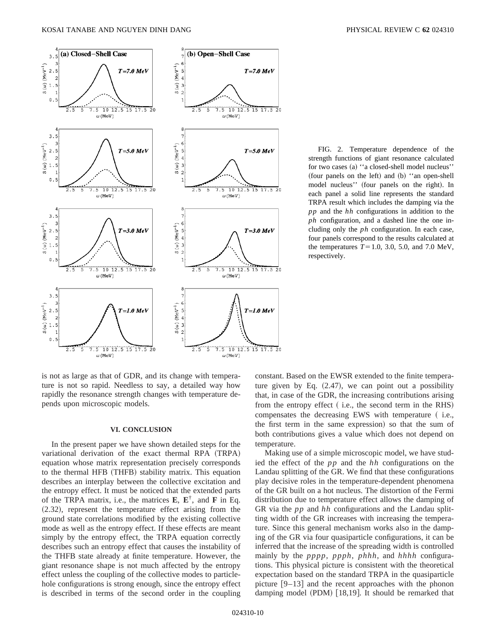

FIG. 2. Temperature dependence of the strength functions of giant resonance calculated for two cases (a) "a closed-shell model nucleus" (four panels on the left) and  $(b)$  "an open-shell model nucleus'' (four panels on the right). In each panel a solid line represents the standard TRPA result which includes the damping via the *pp* and the *hh* configurations in addition to the *ph* configuration, and a dashed line the one including only the *ph* configuration. In each case, four panels correspond to the results calculated at the temperatures  $T=1.0, 3.0, 5.0,$  and 7.0 MeV, respectively.

is not as large as that of GDR, and its change with temperature is not so rapid. Needless to say, a detailed way how rapidly the resonance strength changes with temperature depends upon microscopic models.

#### **VI. CONCLUSION**

In the present paper we have shown detailed steps for the variational derivation of the exact thermal RPA (TRPA) equation whose matrix representation precisely corresponds to the thermal HFB (THFB) stability matrix. This equation describes an interplay between the collective excitation and the entropy effect. It must be noticed that the extended parts of the TRPA matrix, i.e., the matrices **E**, **E**†, and **F** in Eq.  $(2.32)$ , represent the temperature effect arising from the ground state correlations modified by the existing collective mode as well as the entropy effect. If these effects are meant simply by the entropy effect, the TRPA equation correctly describes such an entropy effect that causes the instability of the THFB state already at finite temperature. However, the giant resonance shape is not much affected by the entropy effect unless the coupling of the collective modes to particlehole configurations is strong enough, since the entropy effect is described in terms of the second order in the coupling constant. Based on the EWSR extended to the finite temperature given by Eq.  $(2.47)$ , we can point out a possibility that, in case of the GDR, the increasing contributions arising from the entropy effect  $($  i.e., the second term in the RHS $)$ compensates the decreasing EWS with temperature ( $i.e.,$ the first term in the same expression) so that the sum of both contributions gives a value which does not depend on temperature.

Making use of a simple microscopic model, we have studied the effect of the *pp* and the *hh* configurations on the Landau splitting of the GR. We find that these configurations play decisive roles in the temperature-dependent phenomena of the GR built on a hot nucleus. The distortion of the Fermi distribution due to temperature effect allows the damping of GR via the *pp* and *hh* configurations and the Landau splitting width of the GR increases with increasing the temperature. Since this general mechanism works also in the damping of the GR via four quasiparticle configurations, it can be inferred that the increase of the spreading width is controlled mainly by the *pppp*, *ppph*, *phhh*, and *hhhh* configurations. This physical picture is consistent with the theoretical expectation based on the standard TRPA in the quasiparticle picture  $[9-13]$  and the recent approaches with the phonon damping model  $(PDM)$  [18,19]. It should be remarked that